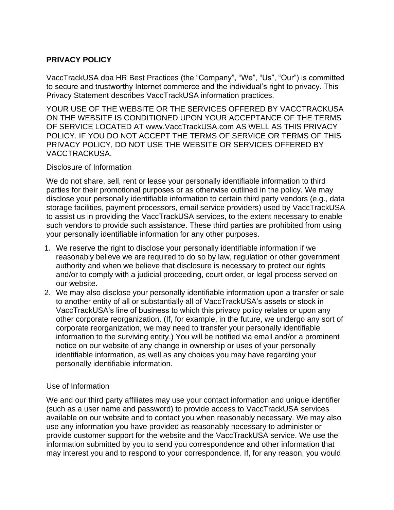# **PRIVACY POLICY**

VaccTrackUSA dba HR Best Practices (the "Company", "We", "Us", "Our") is committed to secure and trustworthy Internet commerce and the individual's right to privacy. This Privacy Statement describes VaccTrackUSA information practices.

YOUR USE OF THE WEBSITE OR THE SERVICES OFFERED BY VACCTRACKUSA ON THE WEBSITE IS CONDITIONED UPON YOUR ACCEPTANCE OF THE TERMS OF SERVICE LOCATED AT www.VaccTrackUSA.com AS WELL AS THIS PRIVACY POLICY. IF YOU DO NOT ACCEPT THE TERMS OF SERVICE OR TERMS OF THIS PRIVACY POLICY, DO NOT USE THE WEBSITE OR SERVICES OFFERED BY VACCTRACKUSA.

#### Disclosure of Information

We do not share, sell, rent or lease your personally identifiable information to third parties for their promotional purposes or as otherwise outlined in the policy. We may disclose your personally identifiable information to certain third party vendors (e.g., data storage facilities, payment processors, email service providers) used by VaccTrackUSA to assist us in providing the VaccTrackUSA services, to the extent necessary to enable such vendors to provide such assistance. These third parties are prohibited from using your personally identifiable information for any other purposes.

- 1. We reserve the right to disclose your personally identifiable information if we reasonably believe we are required to do so by law, regulation or other government authority and when we believe that disclosure is necessary to protect our rights and/or to comply with a judicial proceeding, court order, or legal process served on our website.
- 2. We may also disclose your personally identifiable information upon a transfer or sale to another entity of all or substantially all of VaccTrackUSA's assets or stock in VaccTrackUSA's line of business to which this privacy policy relates or upon any other corporate reorganization. (If, for example, in the future, we undergo any sort of corporate reorganization, we may need to transfer your personally identifiable information to the surviving entity.) You will be notified via email and/or a prominent notice on our website of any change in ownership or uses of your personally identifiable information, as well as any choices you may have regarding your personally identifiable information.

### Use of Information

We and our third party affiliates may use your contact information and unique identifier (such as a user name and password) to provide access to VaccTrackUSA services available on our website and to contact you when reasonably necessary. We may also use any information you have provided as reasonably necessary to administer or provide customer support for the website and the VaccTrackUSA service. We use the information submitted by you to send you correspondence and other information that may interest you and to respond to your correspondence. If, for any reason, you would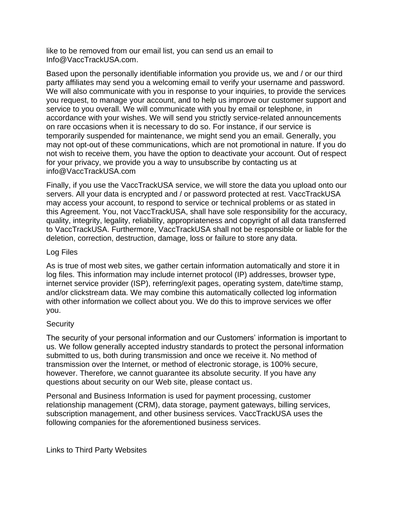like to be removed from our email list, you can send us an email to Info@VaccTrackUSA.com.

Based upon the personally identifiable information you provide us, we and / or our third party affiliates may send you a welcoming email to verify your username and password. We will also communicate with you in response to your inquiries, to provide the services you request, to manage your account, and to help us improve our customer support and service to you overall. We will communicate with you by email or telephone, in accordance with your wishes. We will send you strictly service-related announcements on rare occasions when it is necessary to do so. For instance, if our service is temporarily suspended for maintenance, we might send you an email. Generally, you may not opt-out of these communications, which are not promotional in nature. If you do not wish to receive them, you have the option to deactivate your account. Out of respect for your privacy, we provide you a way to unsubscribe by contacting us at info@VaccTrackUSA.com

Finally, if you use the VaccTrackUSA service, we will store the data you upload onto our servers. All your data is encrypted and / or password protected at rest. VaccTrackUSA may access your account, to respond to service or technical problems or as stated in this Agreement. You, not VaccTrackUSA, shall have sole responsibility for the accuracy, quality, integrity, legality, reliability, appropriateness and copyright of all data transferred to VaccTrackUSA. Furthermore, VaccTrackUSA shall not be responsible or liable for the deletion, correction, destruction, damage, loss or failure to store any data.

#### Log Files

As is true of most web sites, we gather certain information automatically and store it in log files. This information may include internet protocol (IP) addresses, browser type, internet service provider (ISP), referring/exit pages, operating system, date/time stamp, and/or clickstream data. We may combine this automatically collected log information with other information we collect about you. We do this to improve services we offer you.

### **Security**

The security of your personal information and our Customers' information is important to us. We follow generally accepted industry standards to protect the personal information submitted to us, both during transmission and once we receive it. No method of transmission over the Internet, or method of electronic storage, is 100% secure, however. Therefore, we cannot guarantee its absolute security. If you have any questions about security on our Web site, please contact us.

Personal and Business Information is used for payment processing, customer relationship management (CRM), data storage, payment gateways, billing services, subscription management, and other business services. VaccTrackUSA uses the following companies for the aforementioned business services.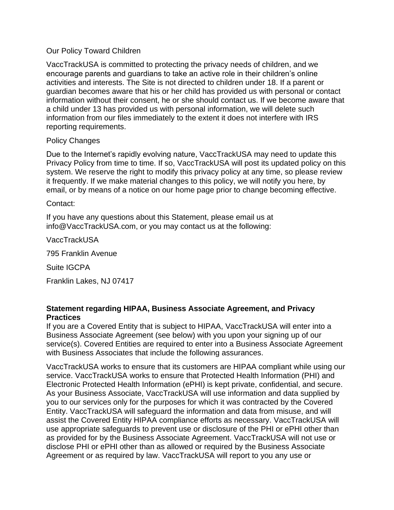### Our Policy Toward Children

VaccTrackUSA is committed to protecting the privacy needs of children, and we encourage parents and guardians to take an active role in their children's online activities and interests. The Site is not directed to children under 18. If a parent or guardian becomes aware that his or her child has provided us with personal or contact information without their consent, he or she should contact us. If we become aware that a child under 13 has provided us with personal information, we will delete such information from our files immediately to the extent it does not interfere with IRS reporting requirements.

### Policy Changes

Due to the Internet's rapidly evolving nature, VaccTrackUSA may need to update this Privacy Policy from time to time. If so, VaccTrackUSA will post its updated policy on this system. We reserve the right to modify this privacy policy at any time, so please review it frequently. If we make material changes to this policy, we will notify you here, by email, or by means of a notice on our home page prior to change becoming effective.

### Contact:

If you have any questions about this Statement, please email us at info@VaccTrackUSA.com, or you may contact us at the following:

VaccTrackUSA

795 Franklin Avenue

Suite IGCPA

Franklin Lakes, NJ 07417

## **Statement regarding HIPAA, Business Associate Agreement, and Privacy Practices**

If you are a Covered Entity that is subject to HIPAA, VaccTrackUSA will enter into a Business Associate Agreement (see below) with you upon your signing up of our service(s). Covered Entities are required to enter into a Business Associate Agreement with Business Associates that include the following assurances.

VaccTrackUSA works to ensure that its customers are HIPAA compliant while using our service. VaccTrackUSA works to ensure that Protected Health Information (PHI) and Electronic Protected Health Information (ePHI) is kept private, confidential, and secure. As your Business Associate, VaccTrackUSA will use information and data supplied by you to our services only for the purposes for which it was contracted by the Covered Entity. VaccTrackUSA will safeguard the information and data from misuse, and will assist the Covered Entity HIPAA compliance efforts as necessary. VaccTrackUSA will use appropriate safeguards to prevent use or disclosure of the PHI or ePHI other than as provided for by the Business Associate Agreement. VaccTrackUSA will not use or disclose PHI or ePHI other than as allowed or required by the Business Associate Agreement or as required by law. VaccTrackUSA will report to you any use or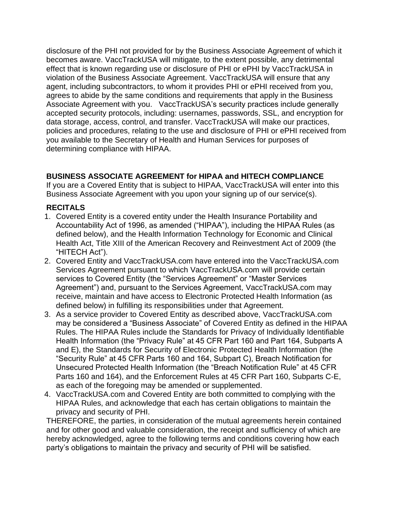disclosure of the PHI not provided for by the Business Associate Agreement of which it becomes aware. VaccTrackUSA will mitigate, to the extent possible, any detrimental effect that is known regarding use or disclosure of PHI or ePHI by VaccTrackUSA in violation of the Business Associate Agreement. VaccTrackUSA will ensure that any agent, including subcontractors, to whom it provides PHI or ePHI received from you, agrees to abide by the same conditions and requirements that apply in the Business Associate Agreement with you. VaccTrackUSA's security practices include generally accepted security protocols, including: usernames, passwords, SSL, and encryption for data storage, access, control, and transfer. VaccTrackUSA will make our practices, policies and procedures, relating to the use and disclosure of PHI or ePHI received from you available to the Secretary of Health and Human Services for purposes of determining compliance with HIPAA.

# **BUSINESS ASSOCIATE AGREEMENT for HIPAA and HITECH COMPLIANCE**

If you are a Covered Entity that is subject to HIPAA, VaccTrackUSA will enter into this Business Associate Agreement with you upon your signing up of our service(s).

## **RECITALS**

- 1. Covered Entity is a covered entity under the Health Insurance Portability and Accountability Act of 1996, as amended ("HIPAA"), including the HIPAA Rules (as defined below), and the Health Information Technology for Economic and Clinical Health Act, Title XIII of the American Recovery and Reinvestment Act of 2009 (the "HITECH Act").
- 2. Covered Entity and VaccTrackUSA.com have entered into the VaccTrackUSA.com Services Agreement pursuant to which VaccTrackUSA.com will provide certain services to Covered Entity (the "Services Agreement" or "Master Services Agreement") and, pursuant to the Services Agreement, VaccTrackUSA.com may receive, maintain and have access to Electronic Protected Health Information (as defined below) in fulfilling its responsibilities under that Agreement.
- 3. As a service provider to Covered Entity as described above, VaccTrackUSA.com may be considered a "Business Associate" of Covered Entity as defined in the HIPAA Rules. The HIPAA Rules include the Standards for Privacy of Individually Identifiable Health Information (the "Privacy Rule" at 45 CFR Part 160 and Part 164, Subparts A and E), the Standards for Security of Electronic Protected Health Information (the "Security Rule" at 45 CFR Parts 160 and 164, Subpart C), Breach Notification for Unsecured Protected Health Information (the "Breach Notification Rule" at 45 CFR Parts 160 and 164), and the Enforcement Rules at 45 CFR Part 160, Subparts C-E, as each of the foregoing may be amended or supplemented.
- 4. VaccTrackUSA.com and Covered Entity are both committed to complying with the HIPAA Rules, and acknowledge that each has certain obligations to maintain the privacy and security of PHI.

THEREFORE, the parties, in consideration of the mutual agreements herein contained and for other good and valuable consideration, the receipt and sufficiency of which are hereby acknowledged, agree to the following terms and conditions covering how each party's obligations to maintain the privacy and security of PHI will be satisfied.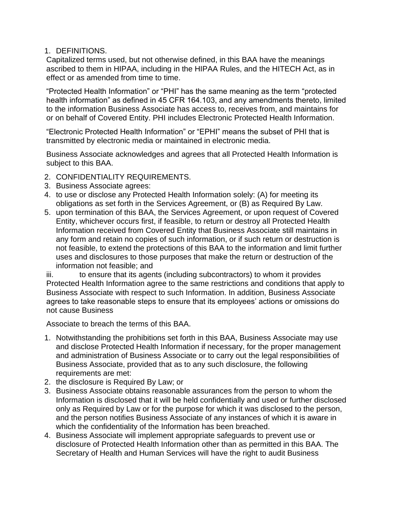### 1. DEFINITIONS.

Capitalized terms used, but not otherwise defined, in this BAA have the meanings ascribed to them in HIPAA, including in the HIPAA Rules, and the HITECH Act, as in effect or as amended from time to time.

"Protected Health Information" or "PHI" has the same meaning as the term "protected health information" as defined in 45 CFR 164.103, and any amendments thereto, limited to the information Business Associate has access to, receives from, and maintains for or on behalf of Covered Entity. PHI includes Electronic Protected Health Information.

"Electronic Protected Health Information" or "EPHI" means the subset of PHI that is transmitted by electronic media or maintained in electronic media.

Business Associate acknowledges and agrees that all Protected Health Information is subject to this BAA.

- 2. CONFIDENTIALITY REQUIREMENTS.
- 3. Business Associate agrees:
- 4. to use or disclose any Protected Health Information solely: (A) for meeting its obligations as set forth in the Services Agreement, or (B) as Required By Law.
- 5. upon termination of this BAA, the Services Agreement, or upon request of Covered Entity, whichever occurs first, if feasible, to return or destroy all Protected Health Information received from Covered Entity that Business Associate still maintains in any form and retain no copies of such information, or if such return or destruction is not feasible, to extend the protections of this BAA to the information and limit further uses and disclosures to those purposes that make the return or destruction of the information not feasible; and

iii. to ensure that its agents (including subcontractors) to whom it provides Protected Health Information agree to the same restrictions and conditions that apply to Business Associate with respect to such Information. In addition, Business Associate agrees to take reasonable steps to ensure that its employees' actions or omissions do not cause Business

Associate to breach the terms of this BAA.

- 1. Notwithstanding the prohibitions set forth in this BAA, Business Associate may use and disclose Protected Health Information if necessary, for the proper management and administration of Business Associate or to carry out the legal responsibilities of Business Associate, provided that as to any such disclosure, the following requirements are met:
- 2. the disclosure is Required By Law; or
- 3. Business Associate obtains reasonable assurances from the person to whom the Information is disclosed that it will be held confidentially and used or further disclosed only as Required by Law or for the purpose for which it was disclosed to the person, and the person notifies Business Associate of any instances of which it is aware in which the confidentiality of the Information has been breached.
- 4. Business Associate will implement appropriate safeguards to prevent use or disclosure of Protected Health Information other than as permitted in this BAA. The Secretary of Health and Human Services will have the right to audit Business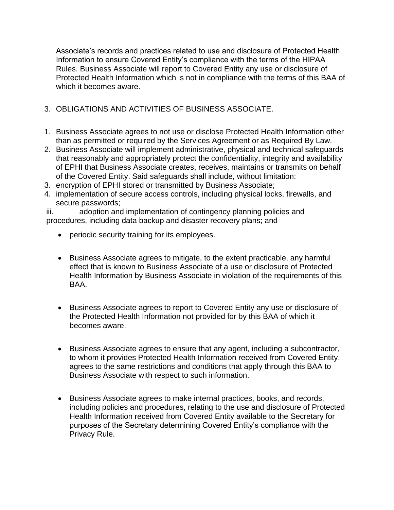Associate's records and practices related to use and disclosure of Protected Health Information to ensure Covered Entity's compliance with the terms of the HIPAA Rules. Business Associate will report to Covered Entity any use or disclosure of Protected Health Information which is not in compliance with the terms of this BAA of which it becomes aware.

# 3. OBLIGATIONS AND ACTIVITIES OF BUSINESS ASSOCIATE.

- 1. Business Associate agrees to not use or disclose Protected Health Information other than as permitted or required by the Services Agreement or as Required By Law.
- 2. Business Associate will implement administrative, physical and technical safeguards that reasonably and appropriately protect the confidentiality, integrity and availability of EPHI that Business Associate creates, receives, maintains or transmits on behalf of the Covered Entity. Said safeguards shall include, without limitation:
- 3. encryption of EPHI stored or transmitted by Business Associate;
- 4. implementation of secure access controls, including physical locks, firewalls, and secure passwords;

iii. adoption and implementation of contingency planning policies and procedures, including data backup and disaster recovery plans; and

- periodic security training for its employees.
- Business Associate agrees to mitigate, to the extent practicable, any harmful effect that is known to Business Associate of a use or disclosure of Protected Health Information by Business Associate in violation of the requirements of this BAA.
- Business Associate agrees to report to Covered Entity any use or disclosure of the Protected Health Information not provided for by this BAA of which it becomes aware.
- Business Associate agrees to ensure that any agent, including a subcontractor, to whom it provides Protected Health Information received from Covered Entity, agrees to the same restrictions and conditions that apply through this BAA to Business Associate with respect to such information.
- Business Associate agrees to make internal practices, books, and records, including policies and procedures, relating to the use and disclosure of Protected Health Information received from Covered Entity available to the Secretary for purposes of the Secretary determining Covered Entity's compliance with the Privacy Rule.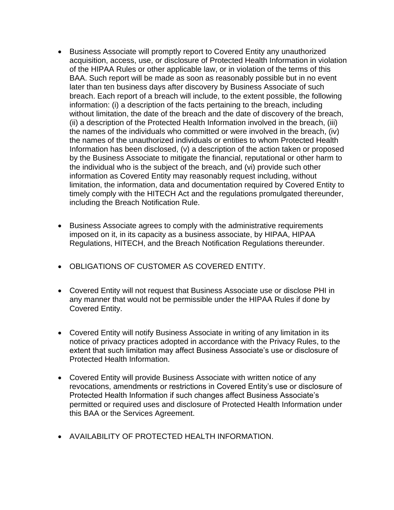- Business Associate will promptly report to Covered Entity any unauthorized acquisition, access, use, or disclosure of Protected Health Information in violation of the HIPAA Rules or other applicable law, or in violation of the terms of this BAA. Such report will be made as soon as reasonably possible but in no event later than ten business days after discovery by Business Associate of such breach. Each report of a breach will include, to the extent possible, the following information: (i) a description of the facts pertaining to the breach, including without limitation, the date of the breach and the date of discovery of the breach, (ii) a description of the Protected Health Information involved in the breach, (iii) the names of the individuals who committed or were involved in the breach, (iv) the names of the unauthorized individuals or entities to whom Protected Health Information has been disclosed, (v) a description of the action taken or proposed by the Business Associate to mitigate the financial, reputational or other harm to the individual who is the subject of the breach, and (vi) provide such other information as Covered Entity may reasonably request including, without limitation, the information, data and documentation required by Covered Entity to timely comply with the HITECH Act and the regulations promulgated thereunder, including the Breach Notification Rule.
- Business Associate agrees to comply with the administrative requirements imposed on it, in its capacity as a business associate, by HIPAA, HIPAA Regulations, HITECH, and the Breach Notification Regulations thereunder.
- OBLIGATIONS OF CUSTOMER AS COVERED ENTITY.
- Covered Entity will not request that Business Associate use or disclose PHI in any manner that would not be permissible under the HIPAA Rules if done by Covered Entity.
- Covered Entity will notify Business Associate in writing of any limitation in its notice of privacy practices adopted in accordance with the Privacy Rules, to the extent that such limitation may affect Business Associate's use or disclosure of Protected Health Information.
- Covered Entity will provide Business Associate with written notice of any revocations, amendments or restrictions in Covered Entity's use or disclosure of Protected Health Information if such changes affect Business Associate's permitted or required uses and disclosure of Protected Health Information under this BAA or the Services Agreement.
- AVAILABILITY OF PROTECTED HEALTH INFORMATION.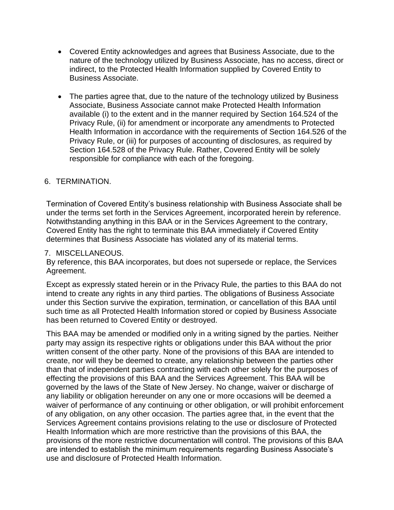- Covered Entity acknowledges and agrees that Business Associate, due to the nature of the technology utilized by Business Associate, has no access, direct or indirect, to the Protected Health Information supplied by Covered Entity to Business Associate.
- The parties agree that, due to the nature of the technology utilized by Business Associate, Business Associate cannot make Protected Health Information available (i) to the extent and in the manner required by Section 164.524 of the Privacy Rule, (ii) for amendment or incorporate any amendments to Protected Health Information in accordance with the requirements of Section 164.526 of the Privacy Rule, or (iii) for purposes of accounting of disclosures, as required by Section 164.528 of the Privacy Rule. Rather, Covered Entity will be solely responsible for compliance with each of the foregoing.

### 6. TERMINATION.

Termination of Covered Entity's business relationship with Business Associate shall be under the terms set forth in the Services Agreement, incorporated herein by reference. Notwithstanding anything in this BAA or in the Services Agreement to the contrary, Covered Entity has the right to terminate this BAA immediately if Covered Entity determines that Business Associate has violated any of its material terms.

#### 7. MISCELLANEOUS.

By reference, this BAA incorporates, but does not supersede or replace, the Services Agreement.

Except as expressly stated herein or in the Privacy Rule, the parties to this BAA do not intend to create any rights in any third parties. The obligations of Business Associate under this Section survive the expiration, termination, or cancellation of this BAA until such time as all Protected Health Information stored or copied by Business Associate has been returned to Covered Entity or destroyed.

This BAA may be amended or modified only in a writing signed by the parties. Neither party may assign its respective rights or obligations under this BAA without the prior written consent of the other party. None of the provisions of this BAA are intended to create, nor will they be deemed to create, any relationship between the parties other than that of independent parties contracting with each other solely for the purposes of effecting the provisions of this BAA and the Services Agreement. This BAA will be governed by the laws of the State of New Jersey. No change, waiver or discharge of any liability or obligation hereunder on any one or more occasions will be deemed a waiver of performance of any continuing or other obligation, or will prohibit enforcement of any obligation, on any other occasion. The parties agree that, in the event that the Services Agreement contains provisions relating to the use or disclosure of Protected Health Information which are more restrictive than the provisions of this BAA, the provisions of the more restrictive documentation will control. The provisions of this BAA are intended to establish the minimum requirements regarding Business Associate's use and disclosure of Protected Health Information.